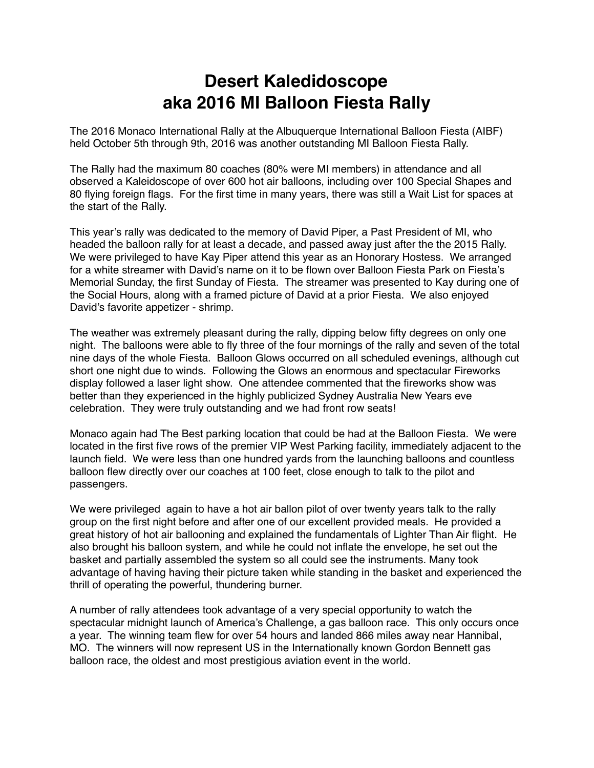## **Desert Kaledidoscope aka 2016 MI Balloon Fiesta Rally**

The 2016 Monaco International Rally at the Albuquerque International Balloon Fiesta (AIBF) held October 5th through 9th, 2016 was another outstanding MI Balloon Fiesta Rally.

The Rally had the maximum 80 coaches (80% were MI members) in attendance and all observed a Kaleidoscope of over 600 hot air balloons, including over 100 Special Shapes and 80 flying foreign flags. For the first time in many years, there was still a Wait List for spaces at the start of the Rally.

This year's rally was dedicated to the memory of David Piper, a Past President of MI, who headed the balloon rally for at least a decade, and passed away just after the the 2015 Rally. We were privileged to have Kay Piper attend this year as an Honorary Hostess. We arranged for a white streamer with David's name on it to be flown over Balloon Fiesta Park on Fiesta's Memorial Sunday, the first Sunday of Fiesta. The streamer was presented to Kay during one of the Social Hours, along with a framed picture of David at a prior Fiesta. We also enjoyed David's favorite appetizer - shrimp.

The weather was extremely pleasant during the rally, dipping below fifty degrees on only one night. The balloons were able to fly three of the four mornings of the rally and seven of the total nine days of the whole Fiesta. Balloon Glows occurred on all scheduled evenings, although cut short one night due to winds. Following the Glows an enormous and spectacular Fireworks display followed a laser light show. One attendee commented that the fireworks show was better than they experienced in the highly publicized Sydney Australia New Years eve celebration. They were truly outstanding and we had front row seats!

Monaco again had The Best parking location that could be had at the Balloon Fiesta. We were located in the first five rows of the premier VIP West Parking facility, immediately adjacent to the launch field. We were less than one hundred yards from the launching balloons and countless balloon flew directly over our coaches at 100 feet, close enough to talk to the pilot and passengers.

We were privileged again to have a hot air ballon pilot of over twenty years talk to the rally group on the first night before and after one of our excellent provided meals. He provided a great history of hot air ballooning and explained the fundamentals of Lighter Than Air flight. He also brought his balloon system, and while he could not inflate the envelope, he set out the basket and partially assembled the system so all could see the instruments. Many took advantage of having having their picture taken while standing in the basket and experienced the thrill of operating the powerful, thundering burner.

A number of rally attendees took advantage of a very special opportunity to watch the spectacular midnight launch of America's Challenge, a gas balloon race. This only occurs once a year. The winning team flew for over 54 hours and landed 866 miles away near Hannibal, MO. The winners will now represent US in the Internationally known Gordon Bennett gas balloon race, the oldest and most prestigious aviation event in the world.